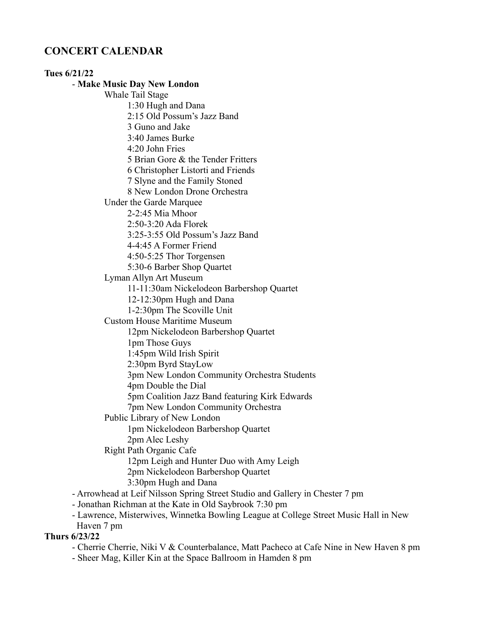# **CONCERT CALENDAR**

### **Tues 6/21/22** - **Make Music Day New London** Whale Tail Stage 1:30 Hugh and Dana 2:15 Old Possum's Jazz Band 3 Guno and Jake 3:40 James Burke 4:20 John Fries 5 Brian Gore & the Tender Fritters 6 Christopher Listorti and Friends 7 Slyne and the Family Stoned 8 New London Drone Orchestra Under the Garde Marquee 2-2:45 Mia Mhoor 2:50-3:20 Ada Florek 3:25-3:55 Old Possum's Jazz Band 4-4:45 A Former Friend 4:50-5:25 Thor Torgensen 5:30-6 Barber Shop Quartet Lyman Allyn Art Museum 11-11:30am Nickelodeon Barbershop Quartet 12-12:30pm Hugh and Dana 1-2:30pm The Scoville Unit Custom House Maritime Museum 12pm Nickelodeon Barbershop Quartet 1pm Those Guys 1:45pm Wild Irish Spirit 2:30pm Byrd StayLow 3pm New London Community Orchestra Students 4pm Double the Dial 5pm Coalition Jazz Band featuring Kirk Edwards 7pm New London Community Orchestra Public Library of New London 1pm Nickelodeon Barbershop Quartet 2pm Alec Leshy Right Path Organic Cafe 12pm Leigh and Hunter Duo with Amy Leigh 2pm Nickelodeon Barbershop Quartet 3:30pm Hugh and Dana - Arrowhead at Leif Nilsson Spring Street Studio and Gallery in Chester 7 pm - Jonathan Richman at the Kate in Old Saybrook 7:30 pm

- Lawrence, Misterwives, Winnetka Bowling League at College Street Music Hall in New

Haven 7 pm

# **Thurs 6/23/22**

- Cherrie Cherrie, Niki V & Counterbalance, Matt Pacheco at Cafe Nine in New Haven 8 pm
- Sheer Mag, Killer Kin at the Space Ballroom in Hamden 8 pm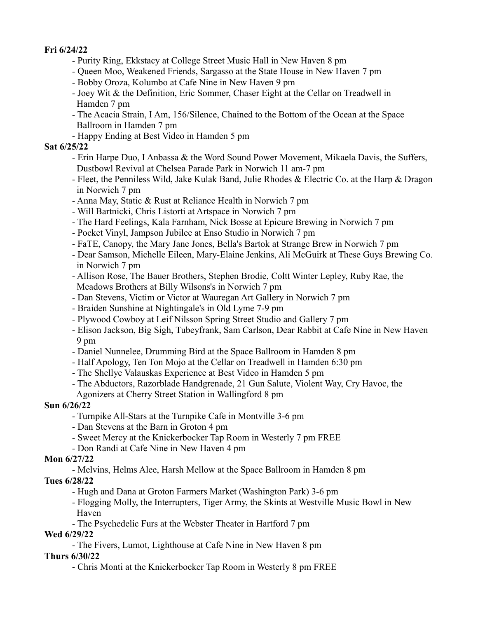### **Fri 6/24/22**

- Purity Ring, Ekkstacy at College Street Music Hall in New Haven 8 pm
- Queen Moo, Weakened Friends, Sargasso at the State House in New Haven 7 pm
- Bobby Oroza, Kolumbo at Cafe Nine in New Haven 9 pm
- Joey Wit & the Definition, Eric Sommer, Chaser Eight at the Cellar on Treadwell in Hamden 7 pm
- The Acacia Strain, I Am, 156/Silence, Chained to the Bottom of the Ocean at the Space Ballroom in Hamden 7 pm
- Happy Ending at Best Video in Hamden 5 pm

### **Sat 6/25/22**

- Erin Harpe Duo, I Anbassa & the Word Sound Power Movement, Mikaela Davis, the Suffers, Dustbowl Revival at Chelsea Parade Park in Norwich 11 am-7 pm
- Fleet, the Penniless Wild, Jake Kulak Band, Julie Rhodes & Electric Co. at the Harp & Dragon in Norwich 7 pm
- Anna May, Static & Rust at Reliance Health in Norwich 7 pm
- Will Bartnicki, Chris Listorti at Artspace in Norwich 7 pm
- The Hard Feelings, Kala Farnham, Nick Bosse at Epicure Brewing in Norwich 7 pm
- Pocket Vinyl, Jampson Jubilee at Enso Studio in Norwich 7 pm
- FaTE, Canopy, the Mary Jane Jones, Bella's Bartok at Strange Brew in Norwich 7 pm
- Dear Samson, Michelle Eileen, Mary-Elaine Jenkins, Ali McGuirk at These Guys Brewing Co. in Norwich 7 pm
- Allison Rose, The Bauer Brothers, Stephen Brodie, Coltt Winter Lepley, Ruby Rae, the Meadows Brothers at Billy Wilsons's in Norwich 7 pm
- Dan Stevens, Victim or Victor at Wauregan Art Gallery in Norwich 7 pm
- Braiden Sunshine at Nightingale's in Old Lyme 7-9 pm
- Plywood Cowboy at Leif Nilsson Spring Street Studio and Gallery 7 pm
- Elison Jackson, Big Sigh, Tubeyfrank, Sam Carlson, Dear Rabbit at Cafe Nine in New Haven 9 pm
- Daniel Nunnelee, Drumming Bird at the Space Ballroom in Hamden 8 pm
- Half Apology, Ten Ton Mojo at the Cellar on Treadwell in Hamden 6:30 pm
- The Shellye Valauskas Experience at Best Video in Hamden 5 pm
- The Abductors, Razorblade Handgrenade, 21 Gun Salute, Violent Way, Cry Havoc, the Agonizers at Cherry Street Station in Wallingford 8 pm

# **Sun 6/26/22**

- Turnpike All-Stars at the Turnpike Cafe in Montville 3-6 pm
- Dan Stevens at the Barn in Groton 4 pm
- Sweet Mercy at the Knickerbocker Tap Room in Westerly 7 pm FREE
- Don Randi at Cafe Nine in New Haven 4 pm

# **Mon 6/27/22**

- Melvins, Helms Alee, Harsh Mellow at the Space Ballroom in Hamden 8 pm

# **Tues 6/28/22**

- Hugh and Dana at Groton Farmers Market (Washington Park) 3-6 pm
- Flogging Molly, the Interrupters, Tiger Army, the Skints at Westville Music Bowl in New Haven
- The Psychedelic Furs at the Webster Theater in Hartford 7 pm

# **Wed 6/29/22**

- The Fivers, Lumot, Lighthouse at Cafe Nine in New Haven 8 pm

# **Thurs 6/30/22**

- Chris Monti at the Knickerbocker Tap Room in Westerly 8 pm FREE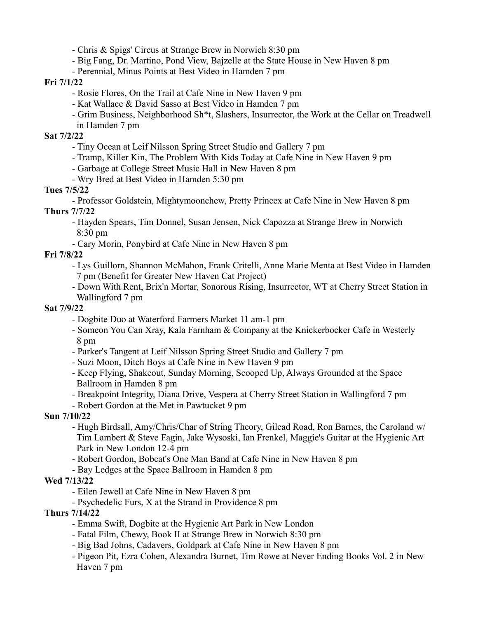- Chris & Spigs' Circus at Strange Brew in Norwich 8:30 pm

- Big Fang, Dr. Martino, Pond View, Bajzelle at the State House in New Haven 8 pm
- Perennial, Minus Points at Best Video in Hamden 7 pm

### **Fri 7/1/22**

- Rosie Flores, On the Trail at Cafe Nine in New Haven 9 pm
- Kat Wallace & David Sasso at Best Video in Hamden 7 pm
- Grim Business, Neighborhood Sh\*t, Slashers, Insurrector, the Work at the Cellar on Treadwell in Hamden 7 pm

## **Sat 7/2/22**

- Tiny Ocean at Leif Nilsson Spring Street Studio and Gallery 7 pm
- Tramp, Killer Kin, The Problem With Kids Today at Cafe Nine in New Haven 9 pm
- Garbage at College Street Music Hall in New Haven 8 pm
- Wry Bred at Best Video in Hamden 5:30 pm

# **Tues 7/5/22**

- Professor Goldstein, Mightymoonchew, Pretty Princex at Cafe Nine in New Haven 8 pm **Thurs 7/7/22**

- Hayden Spears, Tim Donnel, Susan Jensen, Nick Capozza at Strange Brew in Norwich 8:30 pm
- Cary Morin, Ponybird at Cafe Nine in New Haven 8 pm

# **Fri 7/8/22**

- Lys Guillorn, Shannon McMahon, Frank Critelli, Anne Marie Menta at Best Video in Hamden 7 pm (Benefit for Greater New Haven Cat Project)
- Down With Rent, Brix'n Mortar, Sonorous Rising, Insurrector, WT at Cherry Street Station in Wallingford 7 pm

### **Sat 7/9/22**

- Dogbite Duo at Waterford Farmers Market 11 am-1 pm
- Someon You Can Xray, Kala Farnham & Company at the Knickerbocker Cafe in Westerly 8 pm
- Parker's Tangent at Leif Nilsson Spring Street Studio and Gallery 7 pm
- Suzi Moon, Ditch Boys at Cafe Nine in New Haven 9 pm
- Keep Flying, Shakeout, Sunday Morning, Scooped Up, Always Grounded at the Space Ballroom in Hamden 8 pm
- Breakpoint Integrity, Diana Drive, Vespera at Cherry Street Station in Wallingford 7 pm
- Robert Gordon at the Met in Pawtucket 9 pm

# **Sun 7/10/22**

- Hugh Birdsall, Amy/Chris/Char of String Theory, Gilead Road, Ron Barnes, the Caroland w/ Tim Lambert & Steve Fagin, Jake Wysoski, Ian Frenkel, Maggie's Guitar at the Hygienic Art Park in New London 12-4 pm
- Robert Gordon, Bobcat's One Man Band at Cafe Nine in New Haven 8 pm
- Bay Ledges at the Space Ballroom in Hamden 8 pm

# **Wed 7/13/22**

- Eilen Jewell at Cafe Nine in New Haven 8 pm
- Psychedelic Furs, X at the Strand in Providence 8 pm

# **Thurs 7/14/22**

- Emma Swift, Dogbite at the Hygienic Art Park in New London
- Fatal Film, Chewy, Book II at Strange Brew in Norwich 8:30 pm
- Big Bad Johns, Cadavers, Goldpark at Cafe Nine in New Haven 8 pm
- Pigeon Pit, Ezra Cohen, Alexandra Burnet, Tim Rowe at Never Ending Books Vol. 2 in New Haven 7 pm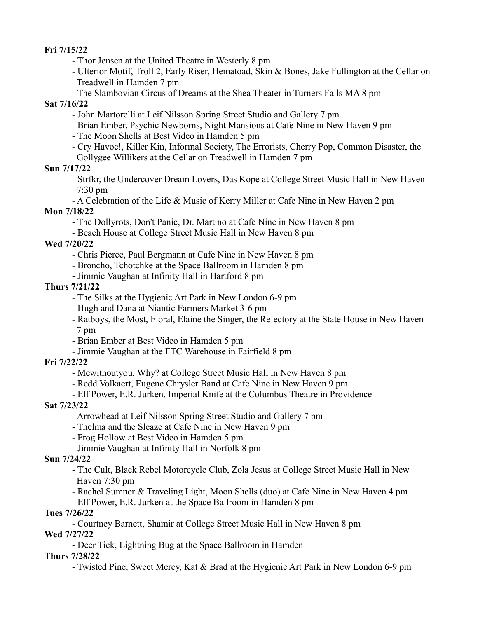**Fri 7/15/22**

- Thor Jensen at the United Theatre in Westerly 8 pm

- Ulterior Motif, Troll 2, Early Riser, Hematoad, Skin & Bones, Jake Fullington at the Cellar on Treadwell in Hamden 7 pm
- The Slambovian Circus of Dreams at the Shea Theater in Turners Falls MA 8 pm

#### **Sat 7/16/22**

- John Martorelli at Leif Nilsson Spring Street Studio and Gallery 7 pm
- Brian Ember, Psychic Newborns, Night Mansions at Cafe Nine in New Haven 9 pm
- The Moon Shells at Best Video in Hamden 5 pm
- Cry Havoc!, Killer Kin, Informal Society, The Errorists, Cherry Pop, Common Disaster, the Gollygee Willikers at the Cellar on Treadwell in Hamden 7 pm

### **Sun 7/17/22**

- Strfkr, the Undercover Dream Lovers, Das Kope at College Street Music Hall in New Haven 7:30 pm
- A Celebration of the Life & Music of Kerry Miller at Cafe Nine in New Haven 2 pm

#### **Mon 7/18/22**

- The Dollyrots, Don't Panic, Dr. Martino at Cafe Nine in New Haven 8 pm
- Beach House at College Street Music Hall in New Haven 8 pm

### **Wed 7/20/22**

- Chris Pierce, Paul Bergmann at Cafe Nine in New Haven 8 pm
- Broncho, Tchotchke at the Space Ballroom in Hamden 8 pm
- Jimmie Vaughan at Infinity Hall in Hartford 8 pm

### **Thurs 7/21/22**

- The Silks at the Hygienic Art Park in New London 6-9 pm
- Hugh and Dana at Niantic Farmers Market 3-6 pm
- Ratboys, the Most, Floral, Elaine the Singer, the Refectory at the State House in New Haven 7 pm
- Brian Ember at Best Video in Hamden 5 pm
- Jimmie Vaughan at the FTC Warehouse in Fairfield 8 pm

#### **Fri 7/22/22**

- Mewithoutyou, Why? at College Street Music Hall in New Haven 8 pm
- Redd Volkaert, Eugene Chrysler Band at Cafe Nine in New Haven 9 pm
- Elf Power, E.R. Jurken, Imperial Knife at the Columbus Theatre in Providence

#### **Sat 7/23/22**

- Arrowhead at Leif Nilsson Spring Street Studio and Gallery 7 pm
- Thelma and the Sleaze at Cafe Nine in New Haven 9 pm
- Frog Hollow at Best Video in Hamden 5 pm
- Jimmie Vaughan at Infinity Hall in Norfolk 8 pm

#### **Sun 7/24/22**

- The Cult, Black Rebel Motorcycle Club, Zola Jesus at College Street Music Hall in New Haven 7:30 pm
- Rachel Sumner & Traveling Light, Moon Shells (duo) at Cafe Nine in New Haven 4 pm
- Elf Power, E.R. Jurken at the Space Ballroom in Hamden 8 pm

### **Tues 7/26/22**

- Courtney Barnett, Shamir at College Street Music Hall in New Haven 8 pm **Wed 7/27/22**
	- Deer Tick, Lightning Bug at the Space Ballroom in Hamden

### **Thurs 7/28/22**

- Twisted Pine, Sweet Mercy, Kat & Brad at the Hygienic Art Park in New London 6-9 pm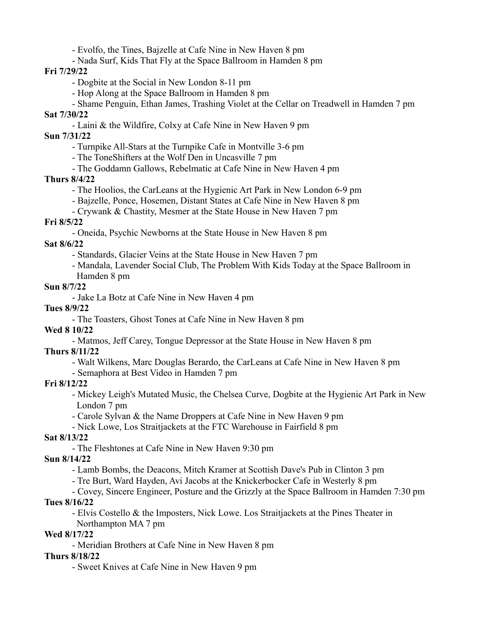- Evolfo, the Tines, Bajzelle at Cafe Nine in New Haven 8 pm

- Nada Surf, Kids That Fly at the Space Ballroom in Hamden 8 pm

**Fri 7/29/22**

- Dogbite at the Social in New London 8-11 pm
- Hop Along at the Space Ballroom in Hamden 8 pm
- Shame Penguin, Ethan James, Trashing Violet at the Cellar on Treadwell in Hamden 7 pm **Sat 7/30/22**
	- Laini & the Wildfire, Colxy at Cafe Nine in New Haven 9 pm

**Sun 7/31/22**

- Turnpike All-Stars at the Turnpike Cafe in Montville 3-6 pm
- The ToneShifters at the Wolf Den in Uncasville 7 pm
- The Goddamn Gallows, Rebelmatic at Cafe Nine in New Haven 4 pm

### **Thurs 8/4/22**

- The Hoolios, the CarLeans at the Hygienic Art Park in New London 6-9 pm
- Bajzelle, Ponce, Hosemen, Distant States at Cafe Nine in New Haven 8 pm
- Crywank & Chastity, Mesmer at the State House in New Haven 7 pm

### **Fri 8/5/22**

- Oneida, Psychic Newborns at the State House in New Haven 8 pm

### **Sat 8/6/22**

- Standards, Glacier Veins at the State House in New Haven 7 pm
- Mandala, Lavender Social Club, The Problem With Kids Today at the Space Ballroom in Hamden 8 pm

### **Sun 8/7/22**

- Jake La Botz at Cafe Nine in New Haven 4 pm

### **Tues 8/9/22**

- The Toasters, Ghost Tones at Cafe Nine in New Haven 8 pm

#### **Wed 8 10/22**

- Matmos, Jeff Carey, Tongue Depressor at the State House in New Haven 8 pm

#### **Thurs 8/11/22**

- Walt Wilkens, Marc Douglas Berardo, the CarLeans at Cafe Nine in New Haven 8 pm
- Semaphora at Best Video in Hamden 7 pm

#### **Fri 8/12/22**

- Mickey Leigh's Mutated Music, the Chelsea Curve, Dogbite at the Hygienic Art Park in New London 7 pm
- Carole Sylvan & the Name Droppers at Cafe Nine in New Haven 9 pm
- Nick Lowe, Los Straitjackets at the FTC Warehouse in Fairfield 8 pm

### **Sat 8/13/22**

- The Fleshtones at Cafe Nine in New Haven 9:30 pm

### **Sun 8/14/22**

- Lamb Bombs, the Deacons, Mitch Kramer at Scottish Dave's Pub in Clinton 3 pm
- Tre Burt, Ward Hayden, Avi Jacobs at the Knickerbocker Cafe in Westerly 8 pm

# - Covey, Sincere Engineer, Posture and the Grizzly at the Space Ballroom in Hamden 7:30 pm

# **Tues 8/16/22**

- Elvis Costello & the Imposters, Nick Lowe. Los Straitjackets at the Pines Theater in
- Northampton MA 7 pm

### **Wed 8/17/22**

- Meridian Brothers at Cafe Nine in New Haven 8 pm

### **Thurs 8/18/22**

- Sweet Knives at Cafe Nine in New Haven 9 pm